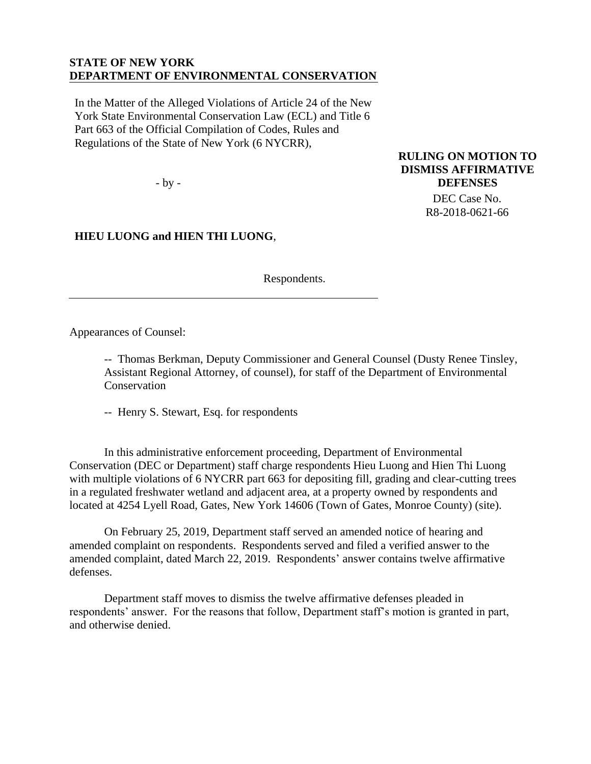#### **STATE OF NEW YORK DEPARTMENT OF ENVIRONMENTAL CONSERVATION**

In the Matter of the Alleged Violations of Article 24 of the New York State Environmental Conservation Law (ECL) and Title 6 Part 663 of the Official Compilation of Codes, Rules and Regulations of the State of New York (6 NYCRR),

- by -

**RULING ON MOTION TO DISMISS AFFIRMATIVE DEFENSES**

> DEC Case No. R8-2018-0621-66

**HIEU LUONG and HIEN THI LUONG**,

Respondents.

Appearances of Counsel:

-- Thomas Berkman, Deputy Commissioner and General Counsel (Dusty Renee Tinsley, Assistant Regional Attorney, of counsel), for staff of the Department of Environmental **Conservation** 

-- Henry S. Stewart, Esq. for respondents

In this administrative enforcement proceeding, Department of Environmental Conservation (DEC or Department) staff charge respondents Hieu Luong and Hien Thi Luong with multiple violations of 6 NYCRR part 663 for depositing fill, grading and clear-cutting trees in a regulated freshwater wetland and adjacent area, at a property owned by respondents and located at 4254 Lyell Road, Gates, New York 14606 (Town of Gates, Monroe County) (site).

On February 25, 2019, Department staff served an amended notice of hearing and amended complaint on respondents. Respondents served and filed a verified answer to the amended complaint, dated March 22, 2019. Respondents' answer contains twelve affirmative defenses.

Department staff moves to dismiss the twelve affirmative defenses pleaded in respondents' answer. For the reasons that follow, Department staff's motion is granted in part, and otherwise denied.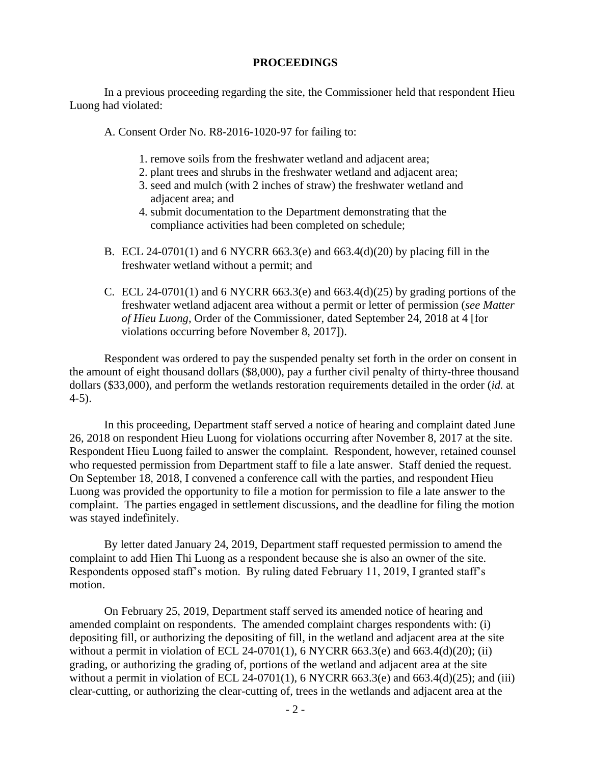#### **PROCEEDINGS**

In a previous proceeding regarding the site, the Commissioner held that respondent Hieu Luong had violated:

A. Consent Order No. R8-2016-1020-97 for failing to:

- 1. remove soils from the freshwater wetland and adjacent area;
- 2. plant trees and shrubs in the freshwater wetland and adjacent area;
- 3. seed and mulch (with 2 inches of straw) the freshwater wetland and adjacent area; and
- 4. submit documentation to the Department demonstrating that the compliance activities had been completed on schedule;
- B. ECL 24-0701(1) and 6 NYCRR 663.3(e) and 663.4(d)(20) by placing fill in the freshwater wetland without a permit; and
- C. ECL 24-0701(1) and 6 NYCRR 663.3(e) and 663.4(d)(25) by grading portions of the freshwater wetland adjacent area without a permit or letter of permission (*see Matter of Hieu Luong*, Order of the Commissioner, dated September 24, 2018 at 4 [for violations occurring before November 8, 2017]).

Respondent was ordered to pay the suspended penalty set forth in the order on consent in the amount of eight thousand dollars (\$8,000), pay a further civil penalty of thirty-three thousand dollars (\$33,000), and perform the wetlands restoration requirements detailed in the order (*id.* at 4-5).

In this proceeding, Department staff served a notice of hearing and complaint dated June 26, 2018 on respondent Hieu Luong for violations occurring after November 8, 2017 at the site. Respondent Hieu Luong failed to answer the complaint. Respondent, however, retained counsel who requested permission from Department staff to file a late answer. Staff denied the request. On September 18, 2018, I convened a conference call with the parties, and respondent Hieu Luong was provided the opportunity to file a motion for permission to file a late answer to the complaint. The parties engaged in settlement discussions, and the deadline for filing the motion was stayed indefinitely.

By letter dated January 24, 2019, Department staff requested permission to amend the complaint to add Hien Thi Luong as a respondent because she is also an owner of the site. Respondents opposed staff's motion. By ruling dated February 11, 2019, I granted staff's motion.

On February 25, 2019, Department staff served its amended notice of hearing and amended complaint on respondents. The amended complaint charges respondents with: (i) depositing fill, or authorizing the depositing of fill, in the wetland and adjacent area at the site without a permit in violation of ECL 24-0701(1), 6 NYCRR 663.3(e) and 663.4(d)(20); (ii) grading, or authorizing the grading of, portions of the wetland and adjacent area at the site without a permit in violation of ECL 24-0701(1), 6 NYCRR 663.3(e) and 663.4(d)(25); and (iii) clear-cutting, or authorizing the clear-cutting of, trees in the wetlands and adjacent area at the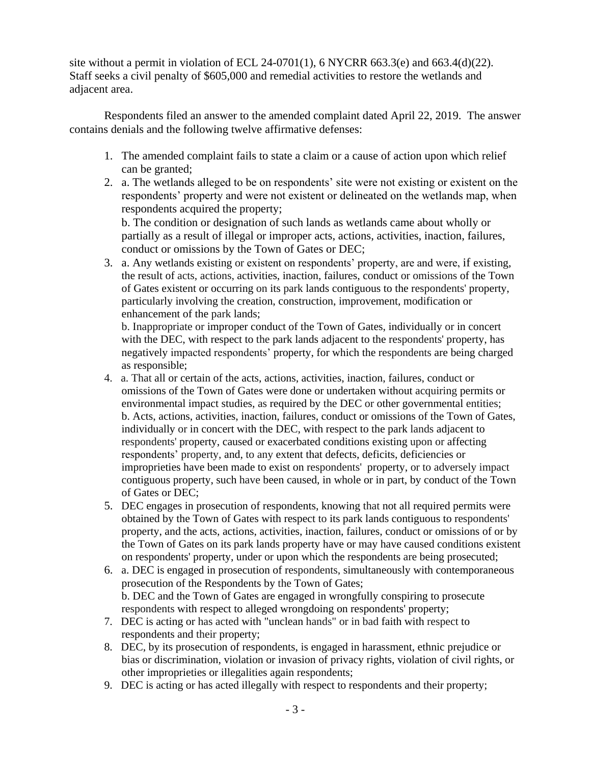site without a permit in violation of ECL 24-0701(1), 6 NYCRR 663.3(e) and 663.4(d)(22). Staff seeks a civil penalty of \$605,000 and remedial activities to restore the wetlands and adjacent area.

Respondents filed an answer to the amended complaint dated April 22, 2019. The answer contains denials and the following twelve affirmative defenses:

- 1. The amended complaint fails to state a claim or a cause of action upon which relief can be granted;
- 2. a. The wetlands alleged to be on respondents' site were not existing or existent on the respondents' property and were not existent or delineated on the wetlands map, when respondents acquired the property;

b. The condition or designation of such lands as wetlands came about wholly or partially as a result of illegal or improper acts, actions, activities, inaction, failures, conduct or omissions by the Town of Gates or DEC;

3. a. Any wetlands existing or existent on respondents' property, are and were, if existing, the result of acts, actions, activities, inaction, failures, conduct or omissions of the Town of Gates existent or occurring on its park lands contiguous to the respondents' property, particularly involving the creation, construction, improvement, modification or enhancement of the park lands;

b. Inappropriate or improper conduct of the Town of Gates, individually or in concert with the DEC, with respect to the park lands adjacent to the respondents' property, has negatively impacted respondents' property, for which the respondents are being charged as responsible;

- 4. a. That all or certain of the acts, actions, activities, inaction, failures, conduct or omissions of the Town of Gates were done or undertaken without acquiring permits or environmental impact studies, as required by the DEC or other governmental entities; b. Acts, actions, activities, inaction, failures, conduct or omissions of the Town of Gates, individually or in concert with the DEC, with respect to the park lands adjacent to respondents' property, caused or exacerbated conditions existing upon or affecting respondents' property, and, to any extent that defects, deficits, deficiencies or improprieties have been made to exist on respondents' property, or to adversely impact contiguous property, such have been caused, in whole or in part, by conduct of the Town of Gates or DEC;
- 5. DEC engages in prosecution of respondents, knowing that not all required permits were obtained by the Town of Gates with respect to its park lands contiguous to respondents' property, and the acts, actions, activities, inaction, failures, conduct or omissions of or by the Town of Gates on its park lands property have or may have caused conditions existent on respondents' property, under or upon which the respondents are being prosecuted;
- 6. a. DEC is engaged in prosecution of respondents, simultaneously with contemporaneous prosecution of the Respondents by the Town of Gates; b. DEC and the Town of Gates are engaged in wrongfully conspiring to prosecute respondents with respect to alleged wrongdoing on respondents' property;
- 7. DEC is acting or has acted with "unclean hands" or in bad faith with respect to respondents and their property;
- 8. DEC, by its prosecution of respondents, is engaged in harassment, ethnic prejudice or bias or discrimination, violation or invasion of privacy rights, violation of civil rights, or other improprieties or illegalities again respondents;
- 9. DEC is acting or has acted illegally with respect to respondents and their property;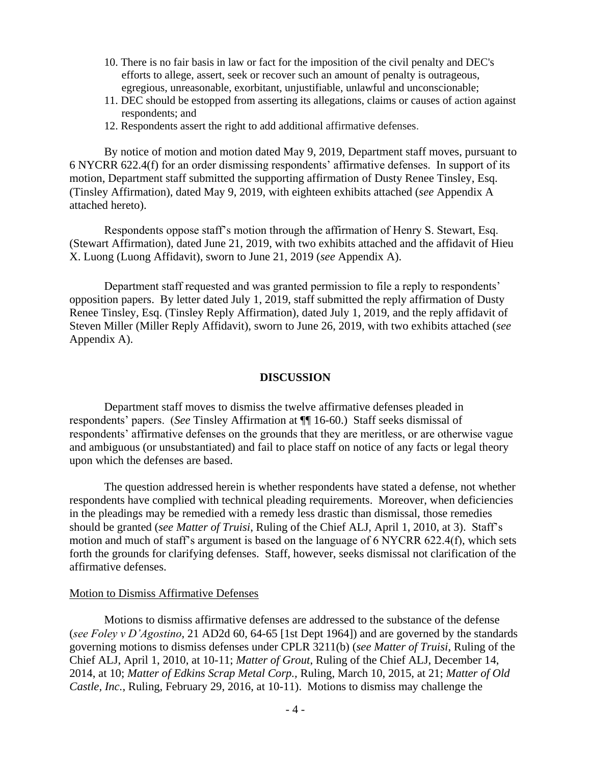- 10. There is no fair basis in law or fact for the imposition of the civil penalty and DEC's efforts to allege, assert, seek or recover such an amount of penalty is outrageous, egregious, unreasonable, exorbitant, unjustifiable, unlawful and unconscionable;
- 11. DEC should be estopped from asserting its allegations, claims or causes of action against respondents; and
- 12. Respondents assert the right to add additional affirmative defenses.

By notice of motion and motion dated May 9, 2019, Department staff moves, pursuant to 6 NYCRR 622.4(f) for an order dismissing respondents' affirmative defenses. In support of its motion, Department staff submitted the supporting affirmation of Dusty Renee Tinsley, Esq. (Tinsley Affirmation), dated May 9, 2019, with eighteen exhibits attached (*see* Appendix A attached hereto).

Respondents oppose staff's motion through the affirmation of Henry S. Stewart, Esq. (Stewart Affirmation), dated June 21, 2019, with two exhibits attached and the affidavit of Hieu X. Luong (Luong Affidavit), sworn to June 21, 2019 (*see* Appendix A).

Department staff requested and was granted permission to file a reply to respondents' opposition papers. By letter dated July 1, 2019, staff submitted the reply affirmation of Dusty Renee Tinsley, Esq. (Tinsley Reply Affirmation), dated July 1, 2019, and the reply affidavit of Steven Miller (Miller Reply Affidavit), sworn to June 26, 2019, with two exhibits attached (*see*  Appendix A).

#### **DISCUSSION**

Department staff moves to dismiss the twelve affirmative defenses pleaded in respondents' papers. (*See* Tinsley Affirmation at ¶¶ 16-60.) Staff seeks dismissal of respondents' affirmative defenses on the grounds that they are meritless, or are otherwise vague and ambiguous (or unsubstantiated) and fail to place staff on notice of any facts or legal theory upon which the defenses are based.

The question addressed herein is whether respondents have stated a defense, not whether respondents have complied with technical pleading requirements. Moreover, when deficiencies in the pleadings may be remedied with a remedy less drastic than dismissal, those remedies should be granted (*see Matter of Truisi*, Ruling of the Chief ALJ, April 1, 2010, at 3). Staff's motion and much of staff's argument is based on the language of 6 NYCRR 622.4(f), which sets forth the grounds for clarifying defenses. Staff, however, seeks dismissal not clarification of the affirmative defenses.

#### Motion to Dismiss Affirmative Defenses

Motions to dismiss affirmative defenses are addressed to the substance of the defense (*see Foley v D'Agostino*, 21 AD2d 60, 64-65 [1st Dept 1964]) and are governed by the standards governing motions to dismiss defenses under CPLR 3211(b) (*see Matter of Truisi*, Ruling of the Chief ALJ, April 1, 2010, at 10-11; *Matter of Grout*, Ruling of the Chief ALJ, December 14, 2014, at 10; *Matter of Edkins Scrap Metal Corp.,* Ruling, March 10, 2015, at 21; *Matter of Old Castle, Inc.*, Ruling, February 29, 2016, at 10-11). Motions to dismiss may challenge the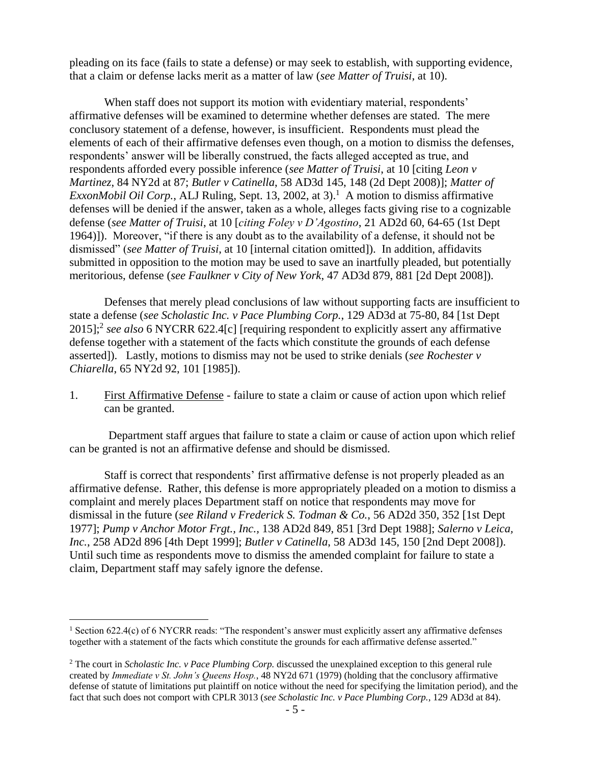pleading on its face (fails to state a defense) or may seek to establish, with supporting evidence, that a claim or defense lacks merit as a matter of law (*see Matter of Truisi*, at 10).

When staff does not support its motion with evidentiary material, respondents' affirmative defenses will be examined to determine whether defenses are stated. The mere conclusory statement of a defense, however, is insufficient. Respondents must plead the elements of each of their affirmative defenses even though, on a motion to dismiss the defenses, respondents' answer will be liberally construed, the facts alleged accepted as true, and respondents afforded every possible inference (*see Matter of Truisi*, at 10 [citing *Leon v Martinez*, 84 NY2d at 87; *Butler v Catinella*, 58 AD3d 145, 148 (2d Dept 2008)]; *Matter of ExxonMobil Oil Corp.*, ALJ Ruling, Sept. 13, 2002, at 3).<sup>1</sup> A motion to dismiss affirmative defenses will be denied if the answer, taken as a whole, alleges facts giving rise to a cognizable defense (*see Matter of Truisi*, at 10 [*citing Foley v D'Agostino*, 21 AD2d 60, 64-65 (1st Dept 1964)]). Moreover, "if there is any doubt as to the availability of a defense, it should not be dismissed" (*see Matter of Truisi*, at 10 [internal citation omitted]). In addition, affidavits submitted in opposition to the motion may be used to save an inartfully pleaded, but potentially meritorious, defense (*see Faulkner v City of New York*, 47 AD3d 879, 881 [2d Dept 2008]).

Defenses that merely plead conclusions of law without supporting facts are insufficient to state a defense (*see Scholastic Inc. v Pace Plumbing Corp.*, 129 AD3d at 75-80, 84 [1st Dept 2015];<sup>2</sup> *see also* 6 NYCRR 622.4[c] [requiring respondent to explicitly assert any affirmative defense together with a statement of the facts which constitute the grounds of each defense asserted]). Lastly, motions to dismiss may not be used to strike denials (*see Rochester v Chiarella*, 65 NY2d 92, 101 [1985]).

1. First Affirmative Defense - failure to state a claim or cause of action upon which relief can be granted.

Department staff argues that failure to state a claim or cause of action upon which relief can be granted is not an affirmative defense and should be dismissed.

Staff is correct that respondents' first affirmative defense is not properly pleaded as an affirmative defense. Rather, this defense is more appropriately pleaded on a motion to dismiss a complaint and merely places Department staff on notice that respondents may move for dismissal in the future (*see Riland v Frederick S. Todman & Co.*, 56 AD2d 350, 352 [1st Dept 1977]; *Pump v Anchor Motor Frgt., Inc.,* 138 AD2d 849, 851 [3rd Dept 1988]; *Salerno v Leica, Inc.*, 258 AD2d 896 [4th Dept 1999]; *Butler v Catinella*, 58 AD3d 145, 150 [2nd Dept 2008]). Until such time as respondents move to dismiss the amended complaint for failure to state a claim, Department staff may safely ignore the defense.

 $\overline{a}$ 

<sup>&</sup>lt;sup>1</sup> Section 622.4(c) of 6 NYCRR reads: "The respondent's answer must explicitly assert any affirmative defenses together with a statement of the facts which constitute the grounds for each affirmative defense asserted."

<sup>2</sup> The court in *Scholastic Inc. v Pace Plumbing Corp.* discussed the unexplained exception to this general rule created by *Immediate v St. John's Queens Hosp.*, 48 NY2d 671 (1979) (holding that the conclusory affirmative defense of statute of limitations put plaintiff on notice without the need for specifying the limitation period), and the fact that such does not comport with CPLR 3013 (*see Scholastic Inc. v Pace Plumbing Corp.*, 129 AD3d at 84).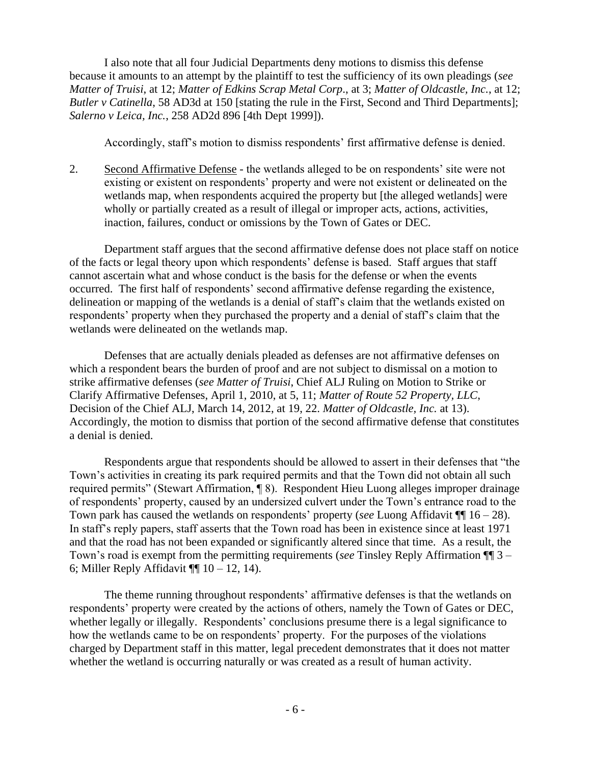I also note that all four Judicial Departments deny motions to dismiss this defense because it amounts to an attempt by the plaintiff to test the sufficiency of its own pleadings (*see Matter of Truisi*, at 12; *Matter of Edkins Scrap Metal Corp*., at 3; *Matter of Oldcastle, Inc.*, at 12; *Butler v Catinella*, 58 AD3d at 150 [stating the rule in the First, Second and Third Departments]; *Salerno v Leica, Inc.*, 258 AD2d 896 [4th Dept 1999]).

Accordingly, staff's motion to dismiss respondents' first affirmative defense is denied.

2. Second Affirmative Defense - the wetlands alleged to be on respondents' site were not existing or existent on respondents' property and were not existent or delineated on the wetlands map, when respondents acquired the property but [the alleged wetlands] were wholly or partially created as a result of illegal or improper acts, actions, activities, inaction, failures, conduct or omissions by the Town of Gates or DEC.

Department staff argues that the second affirmative defense does not place staff on notice of the facts or legal theory upon which respondents' defense is based. Staff argues that staff cannot ascertain what and whose conduct is the basis for the defense or when the events occurred. The first half of respondents' second affirmative defense regarding the existence, delineation or mapping of the wetlands is a denial of staff's claim that the wetlands existed on respondents' property when they purchased the property and a denial of staff's claim that the wetlands were delineated on the wetlands map.

Defenses that are actually denials pleaded as defenses are not affirmative defenses on which a respondent bears the burden of proof and are not subject to dismissal on a motion to strike affirmative defenses (*see Matter of Truisi*, Chief ALJ Ruling on Motion to Strike or Clarify Affirmative Defenses, April 1, 2010, at 5, 11; *Matter of Route 52 Property, LLC*, Decision of the Chief ALJ, March 14, 2012, at 19, 22. *Matter of Oldcastle, Inc.* at 13). Accordingly, the motion to dismiss that portion of the second affirmative defense that constitutes a denial is denied.

Respondents argue that respondents should be allowed to assert in their defenses that "the Town's activities in creating its park required permits and that the Town did not obtain all such required permits" (Stewart Affirmation, ¶ 8). Respondent Hieu Luong alleges improper drainage of respondents' property, caused by an undersized culvert under the Town's entrance road to the Town park has caused the wetlands on respondents' property (*see* Luong Affidavit  $\P$  16 – 28). In staff's reply papers, staff asserts that the Town road has been in existence since at least 1971 and that the road has not been expanded or significantly altered since that time. As a result, the Town's road is exempt from the permitting requirements (*see* Tinsley Reply Affirmation ¶¶ 3 – 6; Miller Reply Affidavit  $\P$  10 – 12, 14).

The theme running throughout respondents' affirmative defenses is that the wetlands on respondents' property were created by the actions of others, namely the Town of Gates or DEC, whether legally or illegally. Respondents' conclusions presume there is a legal significance to how the wetlands came to be on respondents' property. For the purposes of the violations charged by Department staff in this matter, legal precedent demonstrates that it does not matter whether the wetland is occurring naturally or was created as a result of human activity.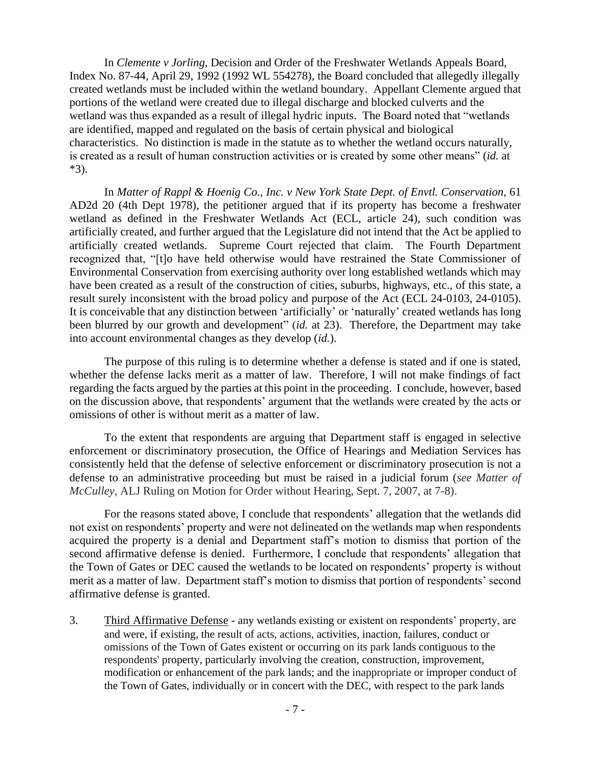In *Clemente v Jorling*, Decision and Order of the Freshwater Wetlands Appeals Board, Index No. 87-44, April 29, 1992 (1992 WL 554278), the Board concluded that allegedly illegally created wetlands must be included within the wetland boundary. Appellant Clemente argued that portions of the wetland were created due to illegal discharge and blocked culverts and the wetland was thus expanded as a result of illegal hydric inputs. The Board noted that "wetlands are identified, mapped and regulated on the basis of certain physical and biological characteristics. No distinction is made in the statute as to whether the wetland occurs naturally, is created as a result of human construction activities or is created by some other means" (*id.* at \*3).

In *Matter of Rappl & Hoenig Co., Inc. v New York State Dept. of Envtl. Conservation*, 61 AD2d 20 (4th Dept 1978), the petitioner argued that if its property has become a freshwater wetland as defined in the Freshwater Wetlands Act (ECL, article 24), such condition was artificially created, and further argued that the Legislature did not intend that the Act be applied to artificially created wetlands. Supreme Court rejected that claim. The Fourth Department recognized that, "[t]o have held otherwise would have restrained the State Commissioner of Environmental Conservation from exercising authority over long established wetlands which may have been created as a result of the construction of cities, suburbs, highways, etc., of this state, a result surely inconsistent with the broad policy and purpose of the Act [\(ECL 24-0103,](http://www.westlaw.com/Link/Document/FullText?findType=L&pubNum=1000300&cite=NYECS24-0103&originatingDoc=I2ba2c45fd8c311d99439b076ef9ec4de&refType=LQ&originationContext=document&vr=3.0&rs=cblt1.0&transitionType=DocumentItem&contextData=(sc.DocLink)) [24-0105\).](http://www.westlaw.com/Link/Document/FullText?findType=L&pubNum=1000300&cite=NYECS24-0105&originatingDoc=I2ba2c45fd8c311d99439b076ef9ec4de&refType=LQ&originationContext=document&vr=3.0&rs=cblt1.0&transitionType=DocumentItem&contextData=(sc.DocLink)) It is conceivable that any distinction between 'artificially' or 'naturally' created wetlands has long been blurred by our growth and development" (*id.* at 23). Therefore, the Department may take into account environmental changes as they develop (*id.*).

The purpose of this ruling is to determine whether a defense is stated and if one is stated, whether the defense lacks merit as a matter of law. Therefore, I will not make findings of fact regarding the facts argued by the parties at this point in the proceeding. I conclude, however, based on the discussion above, that respondents' argument that the wetlands were created by the acts or omissions of other is without merit as a matter of law.

To the extent that respondents are arguing that Department staff is engaged in selective enforcement or discriminatory prosecution, the Office of Hearings and Mediation Services has consistently held that the defense of selective enforcement or discriminatory prosecution is not a defense to an administrative proceeding but must be raised in a judicial forum (*see Matter of McCulley*, ALJ Ruling on Motion for Order without Hearing, Sept. 7, 2007, at 7-8).

For the reasons stated above, I conclude that respondents' allegation that the wetlands did not exist on respondents' property and were not delineated on the wetlands map when respondents acquired the property is a denial and Department staff's motion to dismiss that portion of the second affirmative defense is denied. Furthermore, I conclude that respondents' allegation that the Town of Gates or DEC caused the wetlands to be located on respondents' property is without merit as a matter of law. Department staff's motion to dismiss that portion of respondents' second affirmative defense is granted.

3. Third Affirmative Defense - any wetlands existing or existent on respondents' property, are and were, if existing, the result of acts, actions, activities, inaction, failures, conduct or omissions of the Town of Gates existent or occurring on its park lands contiguous to the respondents' property, particularly involving the creation, construction, improvement, modification or enhancement of the park lands; and the inappropriate or improper conduct of the Town of Gates, individually or in concert with the DEC, with respect to the park lands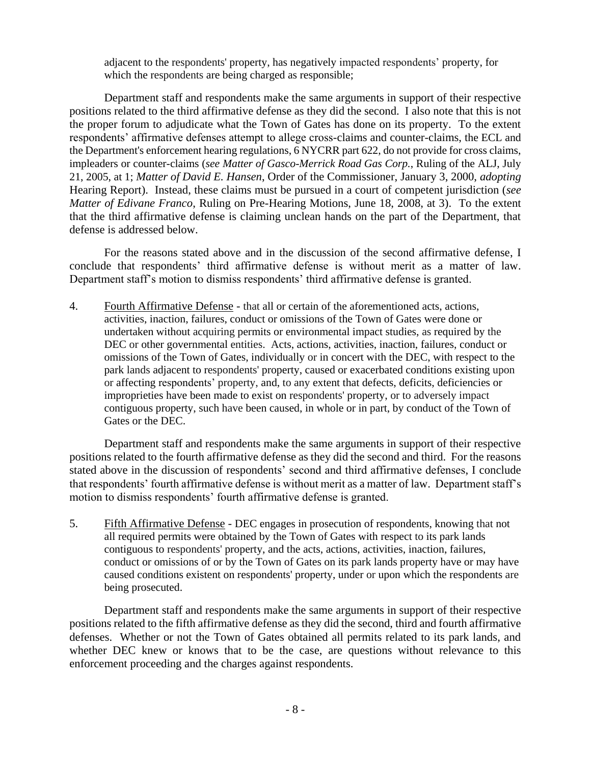adjacent to the respondents' property, has negatively impacted respondents' property, for which the respondents are being charged as responsible;

Department staff and respondents make the same arguments in support of their respective positions related to the third affirmative defense as they did the second. I also note that this is not the proper forum to adjudicate what the Town of Gates has done on its property. To the extent respondents' affirmative defenses attempt to allege cross-claims and counter-claims, the ECL and the Department's enforcement hearing regulations, 6 NYCRR part 622, do not provide for cross claims, impleaders or counter-claims (*see Matter of Gasco-Merrick Road Gas Corp.*, Ruling of the ALJ, July 21, 2005, at 1; *Matter of David E. Hansen*, Order of the Commissioner, January 3, 2000, *adopting* Hearing Report). Instead, these claims must be pursued in a court of competent jurisdiction (*see Matter of Edivane Franco*, Ruling on Pre-Hearing Motions, June 18, 2008, at 3). To the extent that the third affirmative defense is claiming unclean hands on the part of the Department, that defense is addressed below.

For the reasons stated above and in the discussion of the second affirmative defense, I conclude that respondents' third affirmative defense is without merit as a matter of law. Department staff's motion to dismiss respondents' third affirmative defense is granted.

4. Fourth Affirmative Defense - that all or certain of the aforementioned acts, actions, activities, inaction, failures, conduct or omissions of the Town of Gates were done or undertaken without acquiring permits or environmental impact studies, as required by the DEC or other governmental entities. Acts, actions, activities, inaction, failures, conduct or omissions of the Town of Gates, individually or in concert with the DEC, with respect to the park lands adjacent to respondents' property, caused or exacerbated conditions existing upon or affecting respondents' property, and, to any extent that defects, deficits, deficiencies or improprieties have been made to exist on respondents' property, or to adversely impact contiguous property, such have been caused, in whole or in part, by conduct of the Town of Gates or the DEC.

Department staff and respondents make the same arguments in support of their respective positions related to the fourth affirmative defense as they did the second and third. For the reasons stated above in the discussion of respondents' second and third affirmative defenses, I conclude that respondents' fourth affirmative defense is without merit as a matter of law. Department staff's motion to dismiss respondents' fourth affirmative defense is granted.

5. Fifth Affirmative Defense - DEC engages in prosecution of respondents, knowing that not all required permits were obtained by the Town of Gates with respect to its park lands contiguous to respondents' property, and the acts, actions, activities, inaction, failures, conduct or omissions of or by the Town of Gates on its park lands property have or may have caused conditions existent on respondents' property, under or upon which the respondents are being prosecuted.

Department staff and respondents make the same arguments in support of their respective positions related to the fifth affirmative defense as they did the second, third and fourth affirmative defenses. Whether or not the Town of Gates obtained all permits related to its park lands, and whether DEC knew or knows that to be the case, are questions without relevance to this enforcement proceeding and the charges against respondents.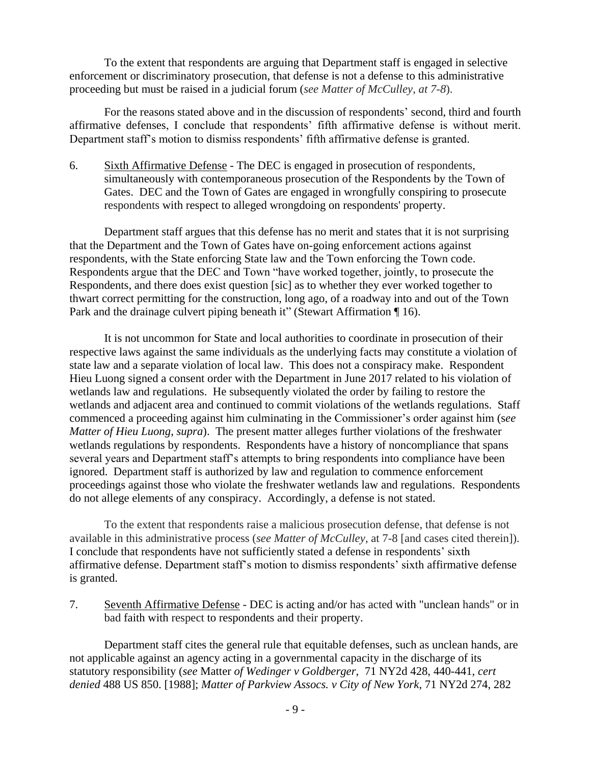To the extent that respondents are arguing that Department staff is engaged in selective enforcement or discriminatory prosecution, that defense is not a defense to this administrative proceeding but must be raised in a judicial forum (*see Matter of McCulley*, *at 7-8*).

For the reasons stated above and in the discussion of respondents' second, third and fourth affirmative defenses, I conclude that respondents' fifth affirmative defense is without merit. Department staff's motion to dismiss respondents' fifth affirmative defense is granted.

6. Sixth Affirmative Defense - The DEC is engaged in prosecution of respondents, simultaneously with contemporaneous prosecution of the Respondents by the Town of Gates. DEC and the Town of Gates are engaged in wrongfully conspiring to prosecute respondents with respect to alleged wrongdoing on respondents' property.

Department staff argues that this defense has no merit and states that it is not surprising that the Department and the Town of Gates have on-going enforcement actions against respondents, with the State enforcing State law and the Town enforcing the Town code. Respondents argue that the DEC and Town "have worked together, jointly, to prosecute the Respondents, and there does exist question [sic] as to whether they ever worked together to thwart correct permitting for the construction, long ago, of a roadway into and out of the Town Park and the drainage culvert piping beneath it" (Stewart Affirmation ¶ 16).

It is not uncommon for State and local authorities to coordinate in prosecution of their respective laws against the same individuals as the underlying facts may constitute a violation of state law and a separate violation of local law. This does not a conspiracy make. Respondent Hieu Luong signed a consent order with the Department in June 2017 related to his violation of wetlands law and regulations. He subsequently violated the order by failing to restore the wetlands and adjacent area and continued to commit violations of the wetlands regulations. Staff commenced a proceeding against him culminating in the Commissioner's order against him (s*ee Matter of Hieu Luong*, *supra*). The present matter alleges further violations of the freshwater wetlands regulations by respondents. Respondents have a history of noncompliance that spans several years and Department staff's attempts to bring respondents into compliance have been ignored. Department staff is authorized by law and regulation to commence enforcement proceedings against those who violate the freshwater wetlands law and regulations. Respondents do not allege elements of any conspiracy. Accordingly, a defense is not stated.

To the extent that respondents raise a malicious prosecution defense, that defense is not available in this administrative process (*see Matter of McCulley*, at 7-8 [and cases cited therein]). I conclude that respondents have not sufficiently stated a defense in respondents' sixth affirmative defense. Department staff's motion to dismiss respondents' sixth affirmative defense is granted.

7. Seventh Affirmative Defense - DEC is acting and/or has acted with "unclean hands" or in bad faith with respect to respondents and their property.

Department staff cites the general rule that equitable defenses, such as unclean hands, are not applicable against an agency acting in a governmental capacity in the discharge of its statutory responsibility (*see* Matter *[of Wedinger v Goldberger](https://1.next.westlaw.com/Link/Document/FullText?findType=Y&serNum=1988041957&pubNum=605&originatingDoc=If0122acf4c4a11e38578f7ccc38dcbee&refType=RP&fi=co_pp_sp_605_440&originationContext=document&transitionType=DocumentItem&contextData=(sc.Search)#co_pp_sp_605_440)*, 71 NY2d 428, 440-441, *cert denied* [488 US 850. \[1988\];](https://1.next.westlaw.com/Link/Document/FullText?findType=Y&serNum=1988129104&pubNum=0000780&originatingDoc=If0122acf4c4a11e38578f7ccc38dcbee&refType=RP&originationContext=document&transitionType=DocumentItem&contextData=(sc.Search)) *[Matter of Parkview Assocs. v City of New York](https://1.next.westlaw.com/Link/Document/FullText?findType=Y&serNum=1988024343&pubNum=605&originatingDoc=If0122acf4c4a11e38578f7ccc38dcbee&refType=RP&fi=co_pp_sp_605_282&originationContext=document&transitionType=DocumentItem&contextData=(sc.Search)#co_pp_sp_605_282)*, 71 NY2d 274, 282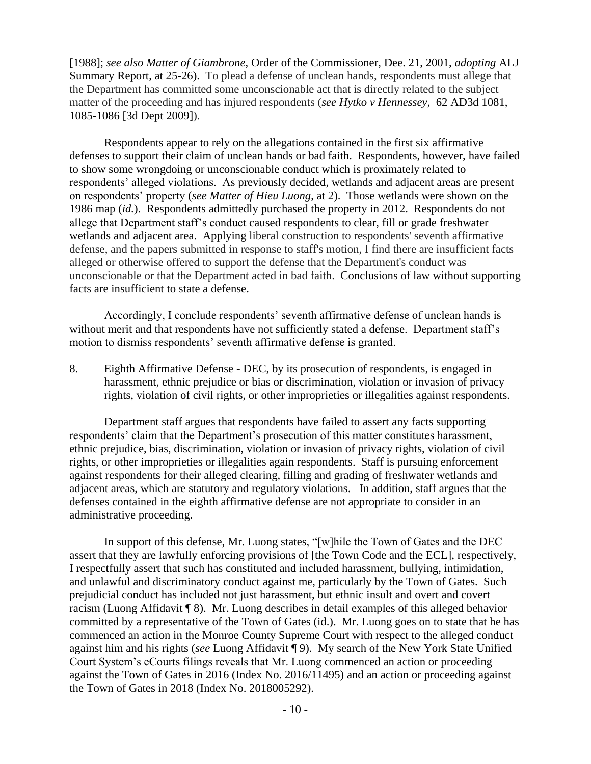[\[1988\];](https://1.next.westlaw.com/Link/Document/FullText?findType=Y&serNum=1988024343&pubNum=605&originatingDoc=If0122acf4c4a11e38578f7ccc38dcbee&refType=RP&fi=co_pp_sp_605_282&originationContext=document&transitionType=DocumentItem&contextData=(sc.Search)#co_pp_sp_605_282) *see also Matter of Giambrone*, Order of the Commissioner, Dee. 21, 2001, *adopting* ALJ Summary Report, at 25-26). To plead a defense of unclean hands, respondents must allege that the Department has committed some unconscionable act that is directly related to the subject matter of the proceeding and has injured respondents (*see [Hytko v Hennessey](https://1.next.westlaw.com/Link/Document/FullText?findType=Y&serNum=2018766210&pubNum=0007049&originatingDoc=If0122acf4c4a11e38578f7ccc38dcbee&refType=RP&fi=co_pp_sp_7049_1085&originationContext=document&transitionType=DocumentItem&contextData=(sc.Search)#co_pp_sp_7049_1085)*, 62 AD3d 1081, [1085-1086 \[3d Dept 2009\]\)](https://1.next.westlaw.com/Link/Document/FullText?findType=Y&serNum=2018766210&pubNum=0007049&originatingDoc=If0122acf4c4a11e38578f7ccc38dcbee&refType=RP&fi=co_pp_sp_7049_1085&originationContext=document&transitionType=DocumentItem&contextData=(sc.Search)#co_pp_sp_7049_1085).

Respondents appear to rely on the allegations contained in the first six affirmative defenses to support their claim of unclean hands or bad faith. Respondents, however, have failed to show some wrongdoing or unconscionable conduct which is proximately related to respondents' alleged violations. As previously decided, wetlands and adjacent areas are present on respondents' property (*see Matter of Hieu Luong*, at 2). Those wetlands were shown on the 1986 map (*id.*). Respondents admittedly purchased the property in 2012. Respondents do not allege that Department staff's conduct caused respondents to clear, fill or grade freshwater wetlands and adjacent area. Applying liberal construction to respondents' seventh affirmative defense, and the papers submitted in response to staff's motion, I find there are insufficient facts alleged or otherwise offered to support the defense that the Department's conduct was unconscionable or that the Department acted in bad faith. Conclusions of law without supporting facts are insufficient to state a defense.

Accordingly, I conclude respondents' seventh affirmative defense of unclean hands is without merit and that respondents have not sufficiently stated a defense. Department staff's motion to dismiss respondents' seventh affirmative defense is granted.

8. Eighth Affirmative Defense - DEC, by its prosecution of respondents, is engaged in harassment, ethnic prejudice or bias or discrimination, violation or invasion of privacy rights, violation of civil rights, or other improprieties or illegalities against respondents.

Department staff argues that respondents have failed to assert any facts supporting respondents' claim that the Department's prosecution of this matter constitutes harassment, ethnic prejudice, bias, discrimination, violation or invasion of privacy rights, violation of civil rights, or other improprieties or illegalities again respondents. Staff is pursuing enforcement against respondents for their alleged clearing, filling and grading of freshwater wetlands and adjacent areas, which are statutory and regulatory violations. In addition, staff argues that the defenses contained in the eighth affirmative defense are not appropriate to consider in an administrative proceeding.

In support of this defense, Mr. Luong states, "[w]hile the Town of Gates and the DEC assert that they are lawfully enforcing provisions of [the Town Code and the ECL], respectively, I respectfully assert that such has constituted and included harassment, bullying, intimidation, and unlawful and discriminatory conduct against me, particularly by the Town of Gates. Such prejudicial conduct has included not just harassment, but ethnic insult and overt and covert racism (Luong Affidavit ¶ 8). Mr. Luong describes in detail examples of this alleged behavior committed by a representative of the Town of Gates (id.). Mr. Luong goes on to state that he has commenced an action in the Monroe County Supreme Court with respect to the alleged conduct against him and his rights (*see* Luong Affidavit ¶ 9). My search of the New York State Unified Court System's eCourts filings reveals that Mr. Luong commenced an action or proceeding against the Town of Gates in 2016 (Index No. 2016/11495) and an action or proceeding against the Town of Gates in 2018 (Index No. 2018005292).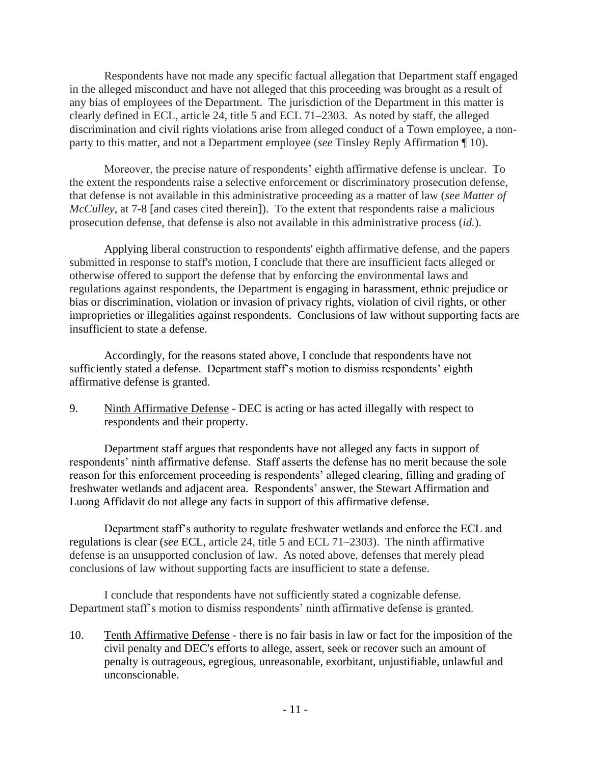Respondents have not made any specific factual allegation that Department staff engaged in the alleged misconduct and have not alleged that this proceeding was brought as a result of any bias of employees of the Department. The jurisdiction of the Department in this matter is clearly defined in ECL, article 24, title 5 and ECL 71–2303. As noted by staff, the alleged discrimination and civil rights violations arise from alleged conduct of a Town employee, a nonparty to this matter, and not a Department employee (*see* Tinsley Reply Affirmation ¶ 10).

Moreover, the precise nature of respondents' eighth affirmative defense is unclear. To the extent the respondents raise a selective enforcement or discriminatory prosecution defense, that defense is not available in this administrative proceeding as a matter of law (*see Matter of McCulley*, at 7-8 [and cases cited therein]). To the extent that respondents raise a malicious prosecution defense, that defense is also not available in this administrative process (*id.*).

Applying liberal construction to respondents' eighth affirmative defense, and the papers submitted in response to staff's motion, I conclude that there are insufficient facts alleged or otherwise offered to support the defense that by enforcing the environmental laws and regulations against respondents, the Department is engaging in harassment, ethnic prejudice or bias or discrimination, violation or invasion of privacy rights, violation of civil rights, or other improprieties or illegalities against respondents. Conclusions of law without supporting facts are insufficient to state a defense.

Accordingly, for the reasons stated above, I conclude that respondents have not sufficiently stated a defense. Department staff's motion to dismiss respondents' eighth affirmative defense is granted.

9. Ninth Affirmative Defense - DEC is acting or has acted illegally with respect to respondents and their property.

Department staff argues that respondents have not alleged any facts in support of respondents' ninth affirmative defense. Staff asserts the defense has no merit because the sole reason for this enforcement proceeding is respondents' alleged clearing, filling and grading of freshwater wetlands and adjacent area. Respondents' answer, the Stewart Affirmation and Luong Affidavit do not allege any facts in support of this affirmative defense.

Department staff's authority to regulate freshwater wetlands and enforce the ECL and regulations is clear (*see* ECL, article 24, title 5 and ECL 71–2303). The ninth affirmative defense is an unsupported conclusion of law. As noted above, defenses that merely plead conclusions of law without supporting facts are insufficient to state a defense.

I conclude that respondents have not sufficiently stated a cognizable defense. Department staff's motion to dismiss respondents' ninth affirmative defense is granted.

10. Tenth Affirmative Defense - there is no fair basis in law or fact for the imposition of the civil penalty and DEC's efforts to allege, assert, seek or recover such an amount of penalty is outrageous, egregious, unreasonable, exorbitant, unjustifiable, unlawful and unconscionable.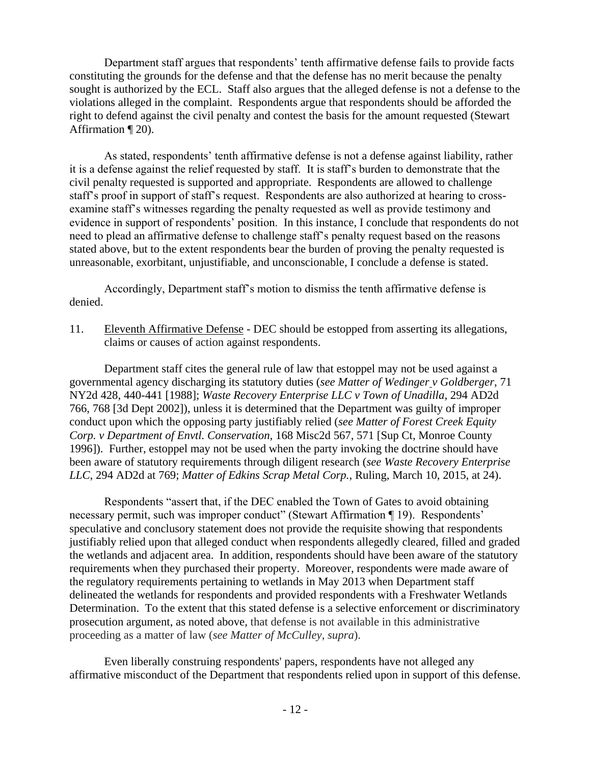Department staff argues that respondents' tenth affirmative defense fails to provide facts constituting the grounds for the defense and that the defense has no merit because the penalty sought is authorized by the ECL. Staff also argues that the alleged defense is not a defense to the violations alleged in the complaint. Respondents argue that respondents should be afforded the right to defend against the civil penalty and contest the basis for the amount requested (Stewart Affirmation ¶ 20).

As stated, respondents' tenth affirmative defense is not a defense against liability, rather it is a defense against the relief requested by staff. It is staff's burden to demonstrate that the civil penalty requested is supported and appropriate. Respondents are allowed to challenge staff's proof in support of staff's request. Respondents are also authorized at hearing to crossexamine staff's witnesses regarding the penalty requested as well as provide testimony and evidence in support of respondents' position. In this instance, I conclude that respondents do not need to plead an affirmative defense to challenge staff's penalty request based on the reasons stated above, but to the extent respondents bear the burden of proving the penalty requested is unreasonable, exorbitant, unjustifiable, and unconscionable, I conclude a defense is stated.

Accordingly, Department staff's motion to dismiss the tenth affirmative defense is denied.

11. Eleventh Affirmative Defense - DEC should be estopped from asserting its allegations, claims or causes of action against respondents.

Department staff cites the general rule of law that estoppel may not be used against a governmental agency discharging its statutory duties (*see Matter of Wedinger [v Goldberger](https://1.next.westlaw.com/Link/Document/FullText?findType=Y&serNum=1988041957&pubNum=0000605&originatingDoc=I153cc275238711e798dc8b09b4f043e0&refType=RP&fi=co_pp_sp_605_440&originationContext=document&transitionType=DocumentItem&contextData=(sc.Search)#co_pp_sp_605_440)*, 71 [NY2d 428, 440-441 \[1988\]](https://1.next.westlaw.com/Link/Document/FullText?findType=Y&serNum=1988041957&pubNum=0000605&originatingDoc=I153cc275238711e798dc8b09b4f043e0&refType=RP&fi=co_pp_sp_605_440&originationContext=document&transitionType=DocumentItem&contextData=(sc.Search)#co_pp_sp_605_440); *[Waste Recovery Enterprise LLC v Town of Unadilla](https://1.next.westlaw.com/Link/Document/FullText?findType=Y&serNum=2002323692&pubNum=0000155&originatingDoc=I153cc275238711e798dc8b09b4f043e0&refType=RP&fi=co_pp_sp_155_768&originationContext=document&transitionType=DocumentItem&contextData=(sc.Search)#co_pp_sp_155_768)*, 294 AD2d [766, 768](https://1.next.westlaw.com/Link/Document/FullText?findType=Y&serNum=2002323692&pubNum=0000155&originatingDoc=I153cc275238711e798dc8b09b4f043e0&refType=RP&fi=co_pp_sp_155_768&originationContext=document&transitionType=DocumentItem&contextData=(sc.Search)#co_pp_sp_155_768) [3d Dept 2002]), unless it is determined that the Department was guilty of improper conduct upon which the opposing party justifiably relied (*see [Matter of Forest Creek Equity](https://1.next.westlaw.com/Link/Document/FullText?findType=Y&serNum=1996082446&pubNum=0000551&originatingDoc=I153cc275238711e798dc8b09b4f043e0&refType=RP&fi=co_pp_sp_551_571&originationContext=document&transitionType=DocumentItem&contextData=(sc.Search)#co_pp_sp_551_571)  [Corp. v Department of Envtl. Conservation,](https://1.next.westlaw.com/Link/Document/FullText?findType=Y&serNum=1996082446&pubNum=0000551&originatingDoc=I153cc275238711e798dc8b09b4f043e0&refType=RP&fi=co_pp_sp_551_571&originationContext=document&transitionType=DocumentItem&contextData=(sc.Search)#co_pp_sp_551_571)* 168 Misc2d 567, 571 [Sup Ct, Monroe County 1996]). Further, estoppel may not be used when the party invoking the doctrine should have been aware of statutory requirements through diligent research (*see [Waste Recovery Enterprise](https://1.next.westlaw.com/Link/Document/FullText?findType=Y&serNum=2002323692&pubNum=0000155&originatingDoc=I153cc275238711e798dc8b09b4f043e0&refType=RP&fi=co_pp_sp_155_769&originationContext=document&transitionType=DocumentItem&contextData=(sc.Search)#co_pp_sp_155_769)  LLC*[, 294 AD2d at 769;](https://1.next.westlaw.com/Link/Document/FullText?findType=Y&serNum=2002323692&pubNum=0000155&originatingDoc=I153cc275238711e798dc8b09b4f043e0&refType=RP&fi=co_pp_sp_155_769&originationContext=document&transitionType=DocumentItem&contextData=(sc.Search)#co_pp_sp_155_769) *Matter of Edkins Scrap Metal Corp.*, Ruling, March 10, 2015, at 24).

Respondents "assert that, if the DEC enabled the Town of Gates to avoid obtaining necessary permit, such was improper conduct" (Stewart Affirmation ¶ 19). Respondents' speculative and conclusory statement does not provide the requisite showing that respondents justifiably relied upon that alleged conduct when respondents allegedly cleared, filled and graded the wetlands and adjacent area. In addition, respondents should have been aware of the statutory requirements when they purchased their property. Moreover, respondents were made aware of the regulatory requirements pertaining to wetlands in May 2013 when Department staff delineated the wetlands for respondents and provided respondents with a Freshwater Wetlands Determination. To the extent that this stated defense is a selective enforcement or discriminatory prosecution argument, as noted above, that defense is not available in this administrative proceeding as a matter of law (*see Matter of McCulley*, *supra*).

Even liberally construing respondents' papers, respondents have not alleged any affirmative misconduct of the Department that respondents relied upon in support of this defense.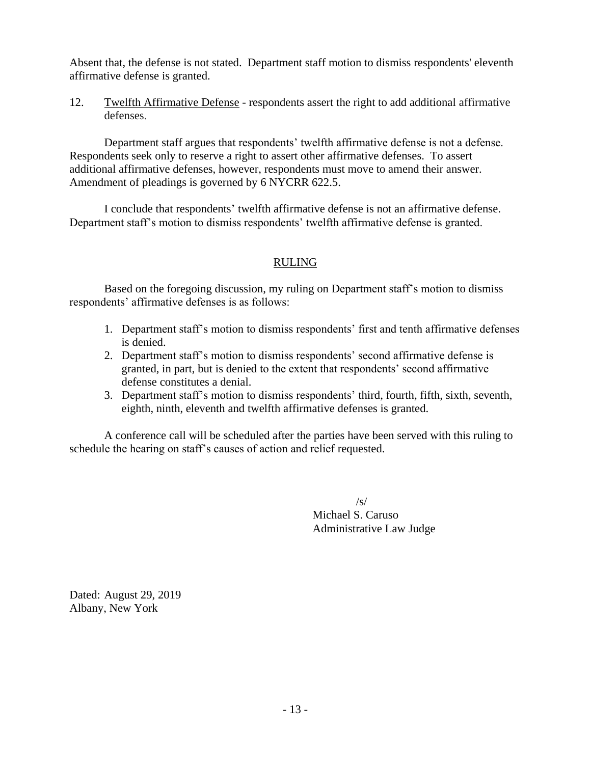Absent that, the defense is not stated. Department staff motion to dismiss respondents' eleventh affirmative defense is granted.

12. Twelfth Affirmative Defense - respondents assert the right to add additional affirmative defenses.

Department staff argues that respondents' twelfth affirmative defense is not a defense. Respondents seek only to reserve a right to assert other affirmative defenses. To assert additional affirmative defenses, however, respondents must move to amend their answer. Amendment of pleadings is governed by [6 NYCRR 622.5.](https://1.next.westlaw.com/Link/Document/FullText?findType=L&pubNum=1013028&cite=6NYADC622.5&originatingDoc=I90beb1edffe111e79bf099c0ee06c731&refType=LQ&originationContext=document&transitionType=DocumentItem&contextData=(sc.Search))

I conclude that respondents' twelfth affirmative defense is not an affirmative defense. Department staff's motion to dismiss respondents' twelfth affirmative defense is granted.

## RULING

Based on the foregoing discussion, my ruling on Department staff's motion to dismiss respondents' affirmative defenses is as follows:

- 1. Department staff's motion to dismiss respondents' first and tenth affirmative defenses is denied.
- 2. Department staff's motion to dismiss respondents' second affirmative defense is granted, in part, but is denied to the extent that respondents' second affirmative defense constitutes a denial.
- 3. Department staff's motion to dismiss respondents' third, fourth, fifth, sixth, seventh, eighth, ninth, eleventh and twelfth affirmative defenses is granted.

A conference call will be scheduled after the parties have been served with this ruling to schedule the hearing on staff's causes of action and relief requested.

> $\sqrt{s}$ Michael S. Caruso Administrative Law Judge

Dated: August 29, 2019 Albany, New York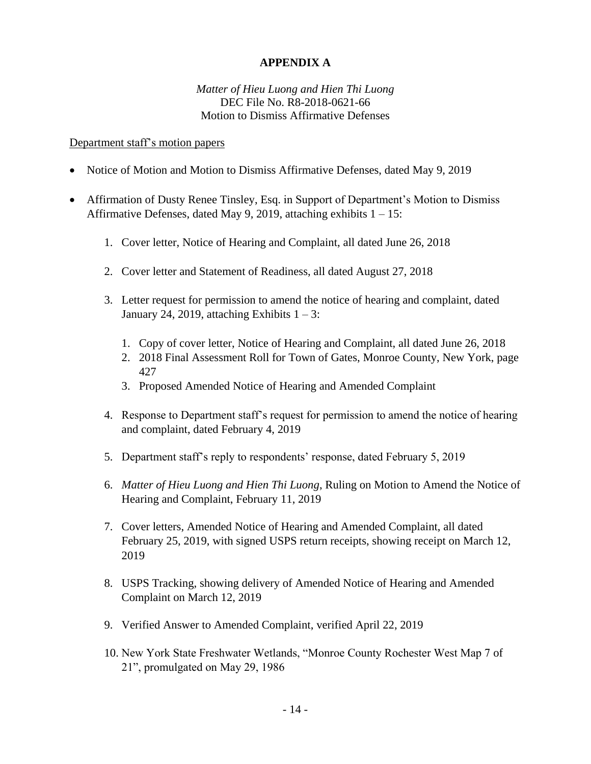## **APPENDIX A**

### *Matter of Hieu Luong and Hien Thi Luong* DEC File No. R8-2018-0621-66 Motion to Dismiss Affirmative Defenses

### Department staff's motion papers

- Notice of Motion and Motion to Dismiss Affirmative Defenses, dated May 9, 2019
- Affirmation of Dusty Renee Tinsley, Esq. in Support of Department's Motion to Dismiss Affirmative Defenses, dated May 9, 2019, attaching exhibits  $1 - 15$ :
	- 1. Cover letter, Notice of Hearing and Complaint, all dated June 26, 2018
	- 2. Cover letter and Statement of Readiness, all dated August 27, 2018
	- 3. Letter request for permission to amend the notice of hearing and complaint, dated January 24, 2019, attaching Exhibits  $1 - 3$ :
		- 1. Copy of cover letter, Notice of Hearing and Complaint, all dated June 26, 2018
		- 2. 2018 Final Assessment Roll for Town of Gates, Monroe County, New York, page 427
		- 3. Proposed Amended Notice of Hearing and Amended Complaint
	- 4. Response to Department staff's request for permission to amend the notice of hearing and complaint, dated February 4, 2019
	- 5. Department staff's reply to respondents' response, dated February 5, 2019
	- 6. *Matter of Hieu Luong and Hien Thi Luong*, Ruling on Motion to Amend the Notice of Hearing and Complaint, February 11, 2019
	- 7. Cover letters, Amended Notice of Hearing and Amended Complaint, all dated February 25, 2019, with signed USPS return receipts, showing receipt on March 12, 2019
	- 8. USPS Tracking, showing delivery of Amended Notice of Hearing and Amended Complaint on March 12, 2019
	- 9. Verified Answer to Amended Complaint, verified April 22, 2019
	- 10. New York State Freshwater Wetlands, "Monroe County Rochester West Map 7 of 21", promulgated on May 29, 1986